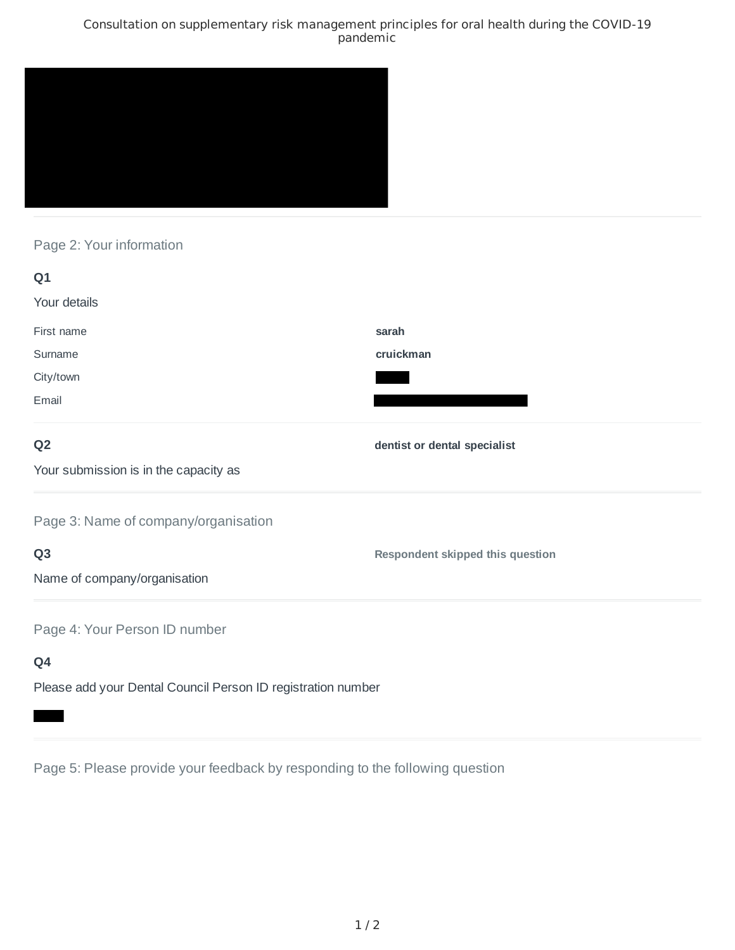### Consultation on supplementary risk management principles for oral health during the COVID-19 pandemic



# Page 2: Your information

| Q1                                                           |                                         |
|--------------------------------------------------------------|-----------------------------------------|
| Your details                                                 |                                         |
| First name                                                   | sarah                                   |
| Surname                                                      | cruickman                               |
| City/town                                                    |                                         |
| Email                                                        |                                         |
| Q <sub>2</sub>                                               | dentist or dental specialist            |
| Your submission is in the capacity as                        |                                         |
| Page 3: Name of company/organisation                         |                                         |
| Q <sub>3</sub>                                               | <b>Respondent skipped this question</b> |
| Name of company/organisation                                 |                                         |
| Page 4: Your Person ID number                                |                                         |
| Q4                                                           |                                         |
| Please add your Dental Council Person ID registration number |                                         |

Page 5: Please provide your feedback by responding to the following question